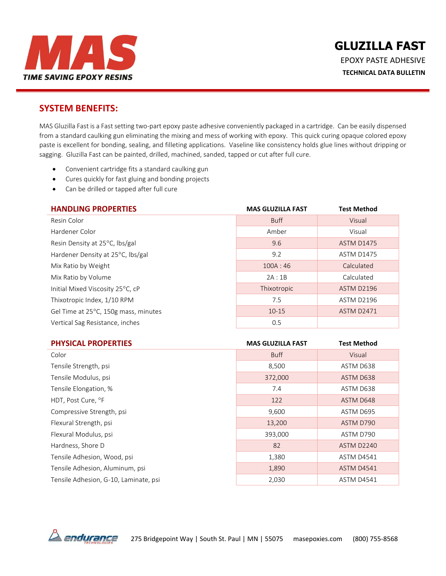

### **SYSTEM BENEFITS:**

MAS Gluzilla Fast is a Fast setting two-part epoxy paste adhesive conveniently packaged in a cartridge. Can be easily dispensed from a standard caulking gun eliminating the mixing and mess of working with epoxy. This quick curing opaque colored epoxy paste is excellent for bonding, sealing, and filleting applications. Vaseline like consistency holds glue lines without dripping or sagging. Gluzilla Fast can be painted, drilled, machined, sanded, tapped or cut after full cure.

- Convenient cartridge fits a standard caulking gun
- Cures quickly for fast gluing and bonding projects
- Can be drilled or tapped after full cure

| <b>HANDLING PROPERTIES</b>           | <b>MAS GLUZILLA FAST</b> | <b>Test Method</b> |
|--------------------------------------|--------------------------|--------------------|
| Resin Color                          | <b>Buff</b>              | Visual             |
| Hardener Color                       | Amber                    | Visual             |
| Resin Density at 25°C, lbs/gal       | 9.6                      | <b>ASTM D1475</b>  |
| Hardener Density at 25°C, lbs/gal    | 9.2                      | <b>ASTM D1475</b>  |
| Mix Ratio by Weight                  | 100A:46                  | Calculated         |
| Mix Ratio by Volume                  | 2A:1B                    | Calculated         |
| Initial Mixed Viscosity 25°C, cP     | Thixotropic              | ASTM D2196         |
| Thixotropic Index, 1/10 RPM          | 7.5                      | <b>ASTM D2196</b>  |
| Gel Time at 25°C, 150g mass, minutes | $10 - 15$                | <b>ASTM D2471</b>  |
| Vertical Sag Resistance, inches      | 0.5                      |                    |

| <b>PHYSICAL PROPERTIES</b>            | <b>MAS GLUZILLA FAST</b> | <b>Test Method</b> |
|---------------------------------------|--------------------------|--------------------|
| Color                                 | <b>Buff</b>              | Visual             |
| Tensile Strength, psi                 | 8,500                    | ASTM D638          |
| Tensile Modulus, psi                  | 372,000                  | ASTM D638          |
| Tensile Elongation, %                 | 7.4                      | ASTM D638          |
| HDT, Post Cure, °F                    | 122                      | ASTM D648          |
| Compressive Strength, psi             | 9,600                    | ASTM D695          |
| Flexural Strength, psi                | 13,200                   | ASTM D790          |
| Flexural Modulus, psi                 | 393,000                  | ASTM D790          |
| Hardness, Shore D                     | 82                       | <b>ASTM D2240</b>  |
| Tensile Adhesion, Wood, psi           | 1,380                    | <b>ASTM D4541</b>  |
| Tensile Adhesion, Aluminum, psi       | 1,890                    | <b>ASTM D4541</b>  |
| Tensile Adhesion, G-10, Laminate, psi | 2,030                    | <b>ASTM D4541</b>  |